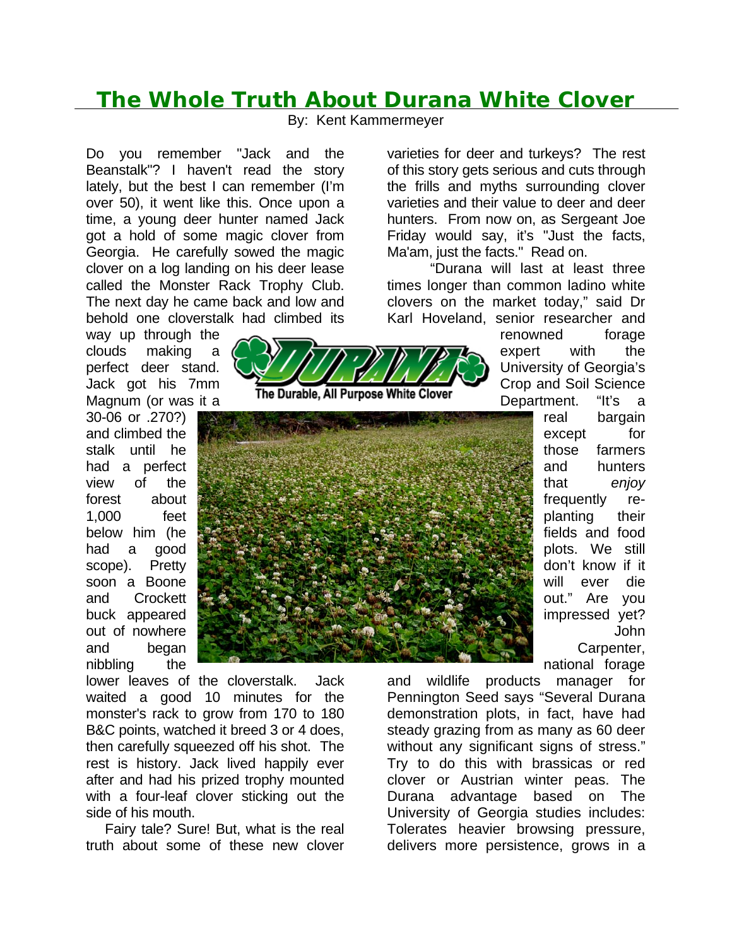## **The Whole Truth About Durana White Clover**

By: Kent Kammermeyer

Do you remember "Jack and the Beanstalk"? I haven't read the story lately, but the best I can remember (I'm over 50), it went like this. Once upon a time, a young deer hunter named Jack got a hold of some magic clover from Georgia. He carefully sowed the magic clover on a log landing on his deer lease called the Monster Rack Trophy Club. The next day he came back and low and behold one cloverstalk had climbed its

way up through the clouds making a perfect deer stand. Jack got his 7mm Magnum (or was it a

30-06 or .270?) and climbed the stalk until he had a perfect view of the forest about 1,000 feet below him (he had a good scope). Pretty soon a Boone and Crockett buck appeared out of nowhere and began nibbling the

lower leaves of the cloverstalk. Jack waited a good 10 minutes for the monster's rack to grow from 170 to 180 B&C points, watched it breed 3 or 4 does, then carefully squeezed off his shot. The rest is history. Jack lived happily ever after and had his prized trophy mounted with a four-leaf clover sticking out the side of his mouth.

 Fairy tale? Sure! But, what is the real truth about some of these new clover

varieties for deer and turkeys? The rest of this story gets serious and cuts through the frills and myths surrounding clover varieties and their value to deer and deer hunters. From now on, as Sergeant Joe Friday would say, it's "Just the facts, Ma'am, just the facts." Read on.

 "Durana will last at least three times longer than common ladino white clovers on the market today," said Dr Karl Hoveland, senior researcher and

> renowned forage expert with the University of Georgia's Crop and Soil Science Department. "It's a

> > real bargain except for those farmers and hunters that *enjoy* frequently replanting their fields and food plots. We still don't know if it will ever die out." Are you impressed yet? John Carpenter, national forage

and wildlife products manager for Pennington Seed says "Several Durana demonstration plots, in fact, have had steady grazing from as many as 60 deer without any significant signs of stress." Try to do this with brassicas or red clover or Austrian winter peas. The Durana advantage based on The University of Georgia studies includes: Tolerates heavier browsing pressure, delivers more persistence, grows in a



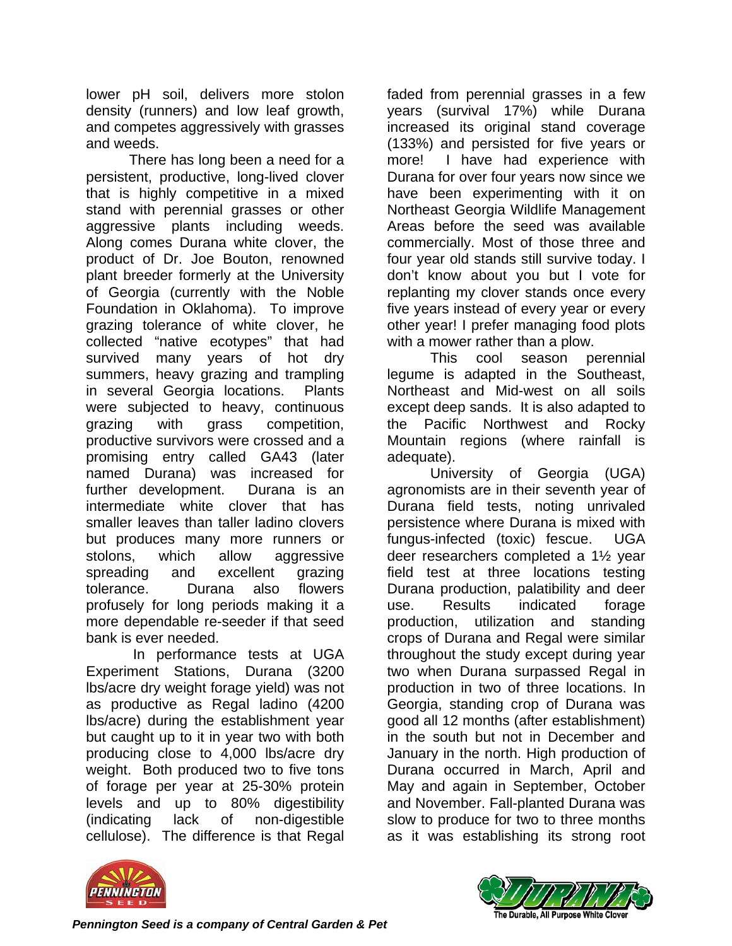lower pH soil, delivers more stolon density (runners) and low leaf growth, and competes aggressively with grasses and weeds.

There has long been a need for a persistent, productive, long-lived clover that is highly competitive in a mixed stand with perennial grasses or other aggressive plants including weeds. Along comes Durana white clover, the product of Dr. Joe Bouton, renowned plant breeder formerly at the University of Georgia (currently with the Noble Foundation in Oklahoma). To improve grazing tolerance of white clover, he collected "native ecotypes" that had survived many years of hot dry summers, heavy grazing and trampling in several Georgia locations. Plants were subjected to heavy, continuous grazing with grass competition, productive survivors were crossed and a promising entry called GA43 (later named Durana) was increased for further development. Durana is an intermediate white clover that has smaller leaves than taller ladino clovers but produces many more runners or stolons, which allow aggressive spreading and excellent grazing tolerance. Durana also flowers profusely for long periods making it a more dependable re-seeder if that seed bank is ever needed.

 In performance tests at UGA Experiment Stations, Durana (3200 lbs/acre dry weight forage yield) was not as productive as Regal ladino (4200 lbs/acre) during the establishment year but caught up to it in year two with both producing close to 4,000 lbs/acre dry weight. Both produced two to five tons of forage per year at 25-30% protein levels and up to 80% digestibility (indicating lack of non-digestible cellulose). The difference is that Regal

faded from perennial grasses in a few years (survival 17%) while Durana increased its original stand coverage (133%) and persisted for five years or more! I have had experience with Durana for over four years now since we have been experimenting with it on Northeast Georgia Wildlife Management Areas before the seed was available commercially. Most of those three and four year old stands still survive today. I don't know about you but I vote for replanting my clover stands once every five years instead of every year or every other year! I prefer managing food plots with a mower rather than a plow.

 This cool season perennial legume is adapted in the Southeast, Northeast and Mid-west on all soils except deep sands. It is also adapted to the Pacific Northwest and Rocky Mountain regions (where rainfall is adequate).

 University of Georgia (UGA) agronomists are in their seventh year of Durana field tests, noting unrivaled persistence where Durana is mixed with fungus-infected (toxic) fescue. UGA deer researchers completed a 1½ year field test at three locations testing Durana production, palatibility and deer use. Results indicated forage production, utilization and standing crops of Durana and Regal were similar throughout the study except during year two when Durana surpassed Regal in production in two of three locations. In Georgia, standing crop of Durana was good all 12 months (after establishment) in the south but not in December and January in the north. High production of Durana occurred in March, April and May and again in September, October and November. Fall-planted Durana was slow to produce for two to three months as it was establishing its strong root





*Pennington Seed is a company of Central Garden & Pet*